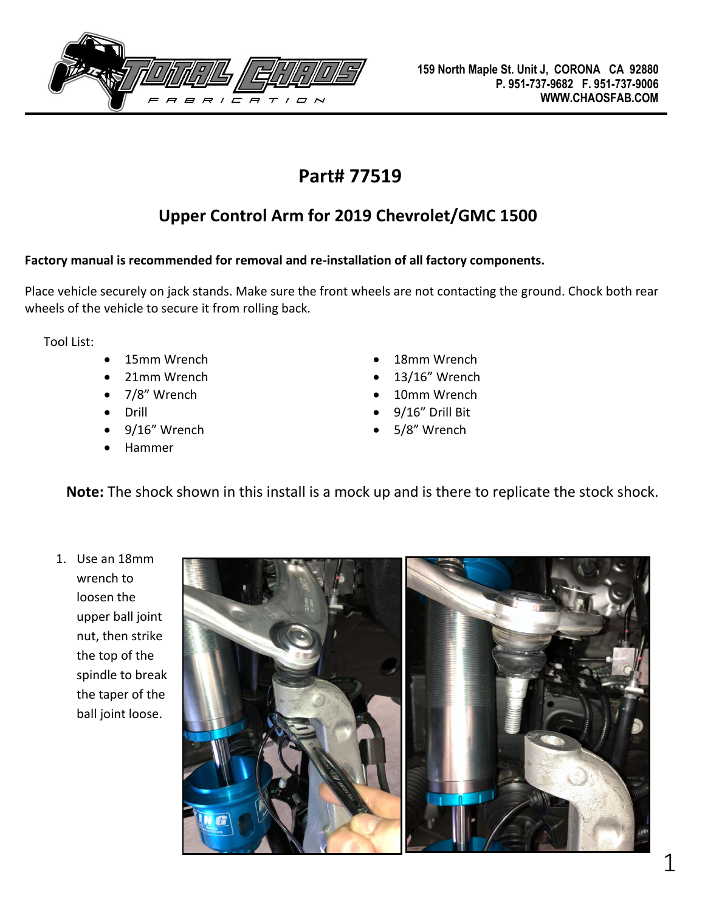

## **Part# 77519**

## **Upper Control Arm for 2019 Chevrolet/GMC 1500**

## **Factory manual is recommended for removal and re-installation of all factory components.**

Place vehicle securely on jack stands. Make sure the front wheels are not contacting the ground. Chock both rear wheels of the vehicle to secure it from rolling back.

Tool List:

- 
- 21mm Wrench 13/16" Wrench
- 
- 
- 9/16" Wrench 5/8" Wrench
- Hammer
- 15mm Wrench 18mm Wrench
	-
- 7/8" Wrench 10mm Wrench
- Drill 9/16" Drill Bit
	-

**Note:** The shock shown in this install is a mock up and is there to replicate the stock shock.

1. Use an 18mm wrench to loosen the upper ball joint nut, then strike the top of the spindle to break the taper of the ball joint loose.

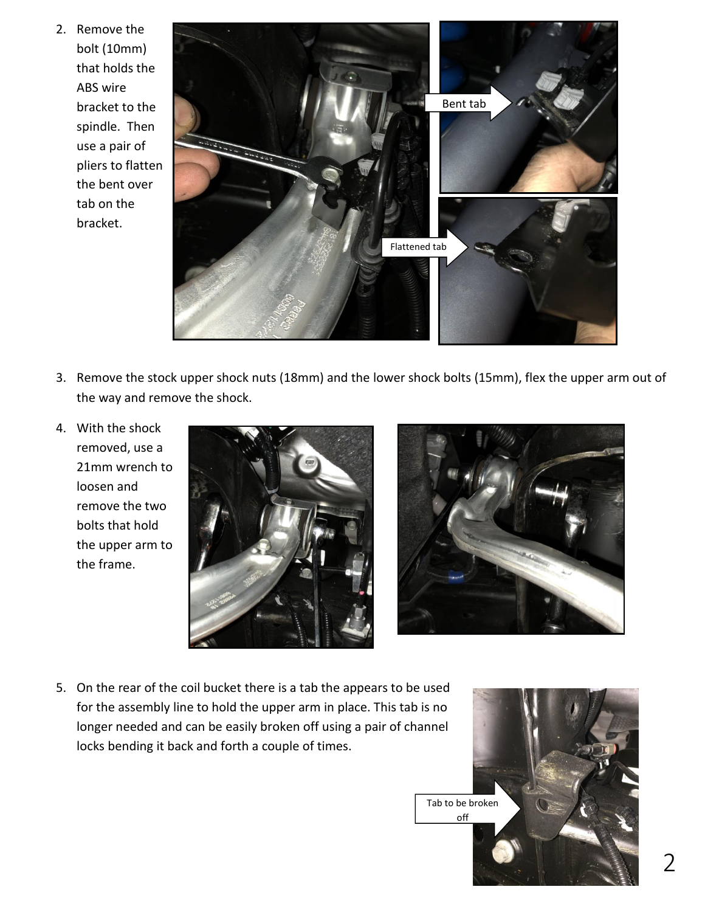2. Remove the bolt (10mm) that holds the ABS wire bracket to the spindle. Then use a pair of pliers to flatten the bent over tab on the bracket.



- 3. Remove the stock upper shock nuts (18mm) and the lower shock bolts (15mm), flex the upper arm out of the way and remove the shock.
- 4. With the shock removed, use a 21mm wrench to loosen and remove the two bolts that hold the upper arm to the frame.





5. On the rear of the coil bucket there is a tab the appears to be used for the assembly line to hold the upper arm in place. This tab is no longer needed and can be easily broken off using a pair of channel locks bending it back and forth a couple of times.

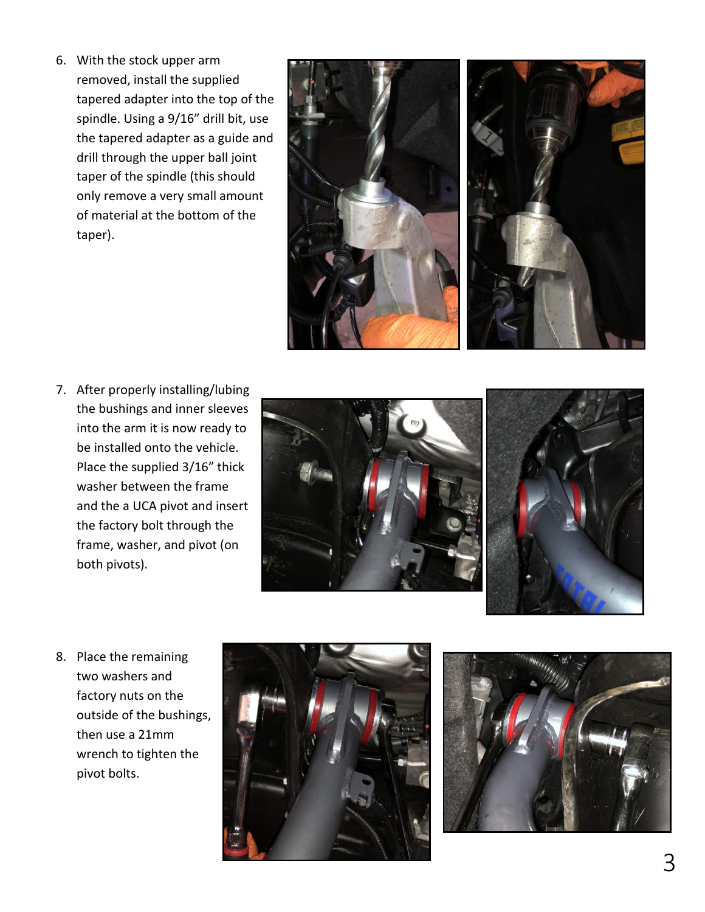6. With the stock upper arm removed, install the supplied tapered adapter into the top of the spindle. Using a 9/16" drill bit, use the tapered adapter as a guide and drill through the upper ball joint taper of the spindle (this should only remove a very small amount of material at the bottom of the taper).



7. After properly installing/lubing the bushings and inner sleeves into the arm it is now ready to be installed onto the vehicle. Place the supplied 3/16" thick washer between the frame and the a UCA pivot and insert the factory bolt through the frame, washer, and pivot (on both pivots).





8. Place the remaining two washers and factory nuts on the outside of the bushings, then use a 21mm wrench to tighten the pivot bolts.